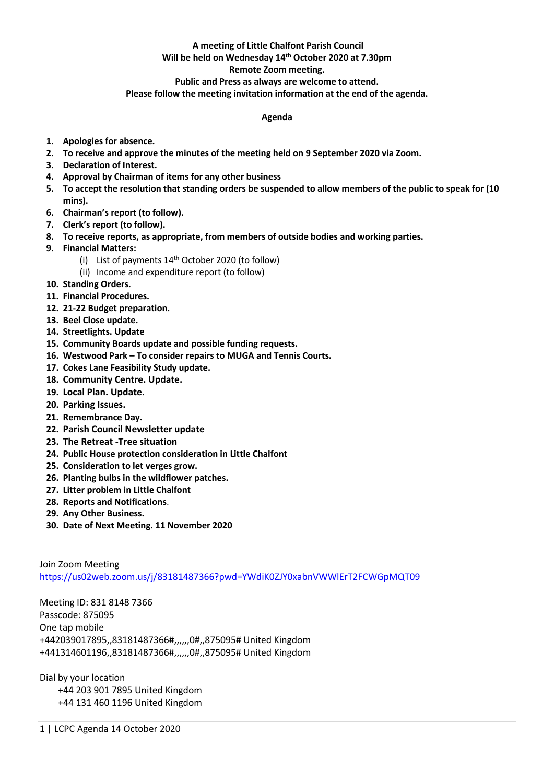# **A meeting of Little Chalfont Parish Council**

## **Will be held on Wednesday 14th October 2020 at 7.30pm**

### **Remote Zoom meeting.**

#### **Public and Press as always are welcome to attend.**

#### **Please follow the meeting invitation information at the end of the agenda.**

#### **Agenda**

- **1. Apologies for absence.**
- **2. To receive and approve the minutes of the meeting held on 9 September 2020 via Zoom.**
- **3. Declaration of Interest.**
- **4. Approval by Chairman of items for any other business**
- **5. To accept the resolution that standing orders be suspended to allow members of the public to speak for (10 mins).**
- **6. Chairman's report (to follow).**
- **7. Clerk's report (to follow).**
- **8. To receive reports, as appropriate, from members of outside bodies and working parties.**
- **9. Financial Matters:**
	- (i) List of payments  $14<sup>th</sup>$  October 2020 (to follow)
	- (ii) Income and expenditure report (to follow)
- **10. Standing Orders.**
- **11. Financial Procedures.**
- **12. 21-22 Budget preparation.**
- **13. Beel Close update.**
- **14. Streetlights. Update**
- **15. Community Boards update and possible funding requests.**
- **16. Westwood Park – To consider repairs to MUGA and Tennis Courts.**
- **17. Cokes Lane Feasibility Study update.**
- **18. Community Centre. Update.**
- **19. Local Plan. Update.**
- **20. Parking Issues.**
- **21. Remembrance Day.**
- **22. Parish Council Newsletter update**
- **23. The Retreat -Tree situation**
- **24. Public House protection consideration in Little Chalfont**
- **25. Consideration to let verges grow.**
- **26. Planting bulbs in the wildflower patches.**
- **27. Litter problem in Little Chalfont**
- **28. Reports and Notifications**.
- **29. Any Other Business.**
- **30. Date of Next Meeting. 11 November 2020**

Join Zoom Meeting <https://us02web.zoom.us/j/83181487366?pwd=YWdiK0ZJY0xabnVWWlErT2FCWGpMQT09>

Meeting ID: 831 8148 7366 Passcode: 875095 One tap mobile +442039017895,,83181487366#,,,,,,0#,,875095# United Kingdom +441314601196,,83181487366#,,,,,,0#,,875095# United Kingdom

Dial by your location +44 203 901 7895 United Kingdom +44 131 460 1196 United Kingdom